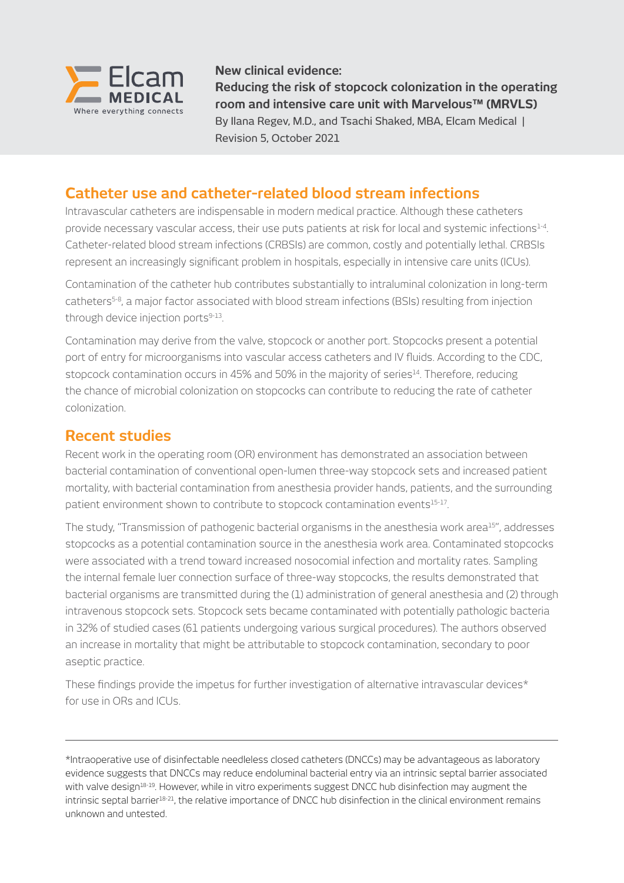

**New clinical evidence:**

**Reducing the risk of stopcock colonization in the operating room and intensive care unit with Marvelous™ (MRVLS)** By Ilana Regev, M.D., and Tsachi Shaked, MBA, Elcam Medical | Revision 5, October 2021

# **Catheter use and catheter-related blood stream infections**

Intravascular catheters are indispensable in modern medical practice. Although these catheters provide necessary vascular access, their use puts patients at risk for local and systemic infections<sup>1-4</sup>. Catheter-related blood stream infections (CRBSIs) are common, costly and potentially lethal. CRBSIs represent an increasingly significant problem in hospitals, especially in intensive care units (ICUs).

Contamination of the catheter hub contributes substantially to intraluminal colonization in long-term catheters5-8, a major factor associated with blood stream infections (BSIs) resulting from injection through device injection ports<sup>9-13</sup>.

Contamination may derive from the valve, stopcock or another port. Stopcocks present a potential port of entry for microorganisms into vascular access catheters and IV fluids. According to the CDC, stopcock contamination occurs in 45% and 50% in the majority of series<sup>14</sup>. Therefore, reducing the chance of microbial colonization on stopcocks can contribute to reducing the rate of catheter colonization.

## **Recent studies**

Recent work in the operating room (OR) environment has demonstrated an association between bacterial contamination of conventional open-lumen three-way stopcock sets and increased patient mortality, with bacterial contamination from anesthesia provider hands, patients, and the surrounding patient environment shown to contribute to stopcock contamination events<sup>15-17</sup>.

The study, "Transmission of pathogenic bacterial organisms in the anesthesia work area<sup>15</sup>", addresses stopcocks as a potential contamination source in the anesthesia work area. Contaminated stopcocks were associated with a trend toward increased nosocomial infection and mortality rates. Sampling the internal female luer connection surface of three-way stopcocks, the results demonstrated that bacterial organisms are transmitted during the (1) administration of general anesthesia and (2) through intravenous stopcock sets. Stopcock sets became contaminated with potentially pathologic bacteria in 32% of studied cases (61 patients undergoing various surgical procedures). The authors observed an increase in mortality that might be attributable to stopcock contamination, secondary to poor aseptic practice.

These findings provide the impetus for further investigation of alternative intravascular devices\* for use in ORs and ICUs.

\*Intraoperative use of disinfectable needleless closed catheters (DNCCs) may be advantageous as laboratory evidence suggests that DNCCs may reduce endoluminal bacterial entry via an intrinsic septal barrier associated with valve design<sup>18-19</sup>. However, while in vitro experiments suggest DNCC hub disinfection may augment the intrinsic septal barrier18-21, the relative importance of DNCC hub disinfection in the clinical environment remains unknown and untested.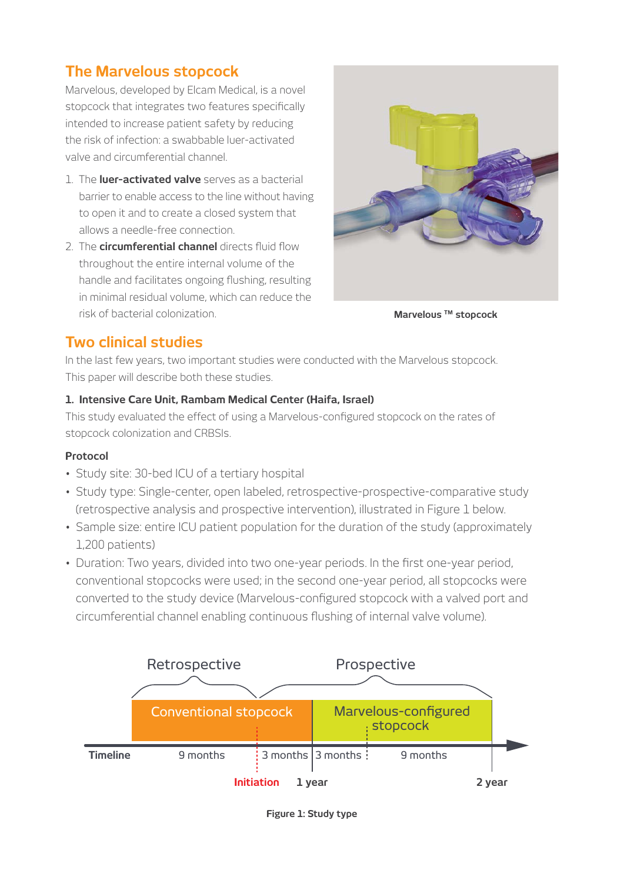# **The Marvelous stopcock**

Marvelous, developed by Elcam Medical, is a novel stopcock that integrates two features specifically intended to increase patient safety by reducing the risk of infection: a swabbable luer-activated valve and circumferential channel.

- 1. The **luer-activated valve** serves as a bacterial barrier to enable access to the line without having to open it and to create a closed system that allows a needle-free connection.
- 2. The **circumferential channel** directs fluid flow throughout the entire internal volume of the handle and facilitates ongoing flushing, resulting in minimal residual volume, which can reduce the risk of bacterial colonization.



**Marvelous TM stopcock**

# **Two clinical studies**

In the last few years, two important studies were conducted with the Marvelous stopcock. This paper will describe both these studies.

### **1. Intensive Care Unit, Rambam Medical Center (Haifa, Israel)**

This study evaluated the effect of using a Marvelous-configured stopcock on the rates of stopcock colonization and CRBSIs.

### **Protocol**

- Study site: 30-bed ICU of a tertiary hospital
- Study type: Single-center, open labeled, retrospective-prospective-comparative study (retrospective analysis and prospective intervention), illustrated in Figure 1 below.
- Sample size: entire ICU patient population for the duration of the study (approximately 1,200 patients)
- Duration: Two years, divided into two one-year periods. In the first one-year period, conventional stopcocks were used; in the second one-year period, all stopcocks were converted to the study device (Marvelous-configured stopcock with a valved port and circumferential channel enabling continuous flushing of internal valve volume).



**Figure 1: Study type**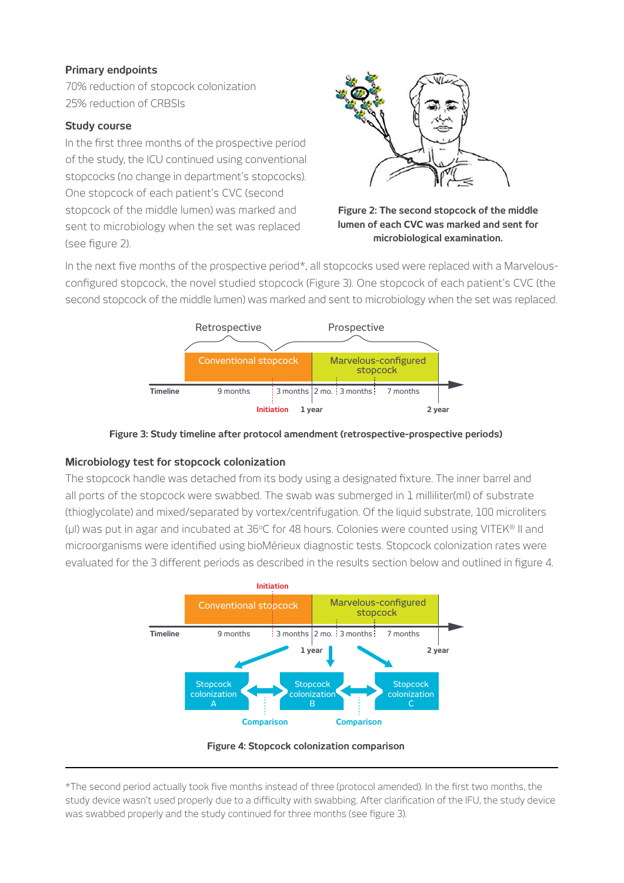#### **Primary endpoints**

70% reduction of stopcock colonization 25% reduction of CRBSIs

#### **Study course**

In the first three months of the prospective period of the study, the ICU continued using conventional stopcocks (no change in department's stopcocks). One stopcock of each patient's CVC (second stopcock of the middle lumen) was marked and sent to microbiology when the set was replaced (see figure 2).



**Figure 2: The second stopcock of the middle lumen of each CVC was marked and sent for microbiological examination.**

In the next five months of the prospective period\*, all stopcocks used were replaced with a Marvelousconfigured stopcock, the novel studied stopcock (Figure 3). One stopcock of each patient's CVC (the second stopcock of the middle lumen) was marked and sent to microbiology when the set was replaced.



**Figure 3: Study timeline after protocol amendment (retrospective-prospective periods)**

#### **Microbiology test for stopcock colonization**

The stopcock handle was detached from its body using a designated fixture. The inner barrel and all ports of the stopcock were swabbed. The swab was submerged in 1 milliliter(ml) of substrate (thioglycolate) and mixed/separated by vortex/centrifugation. Of the liquid substrate, 100 microliters (µl) was put in agar and incubated at  $36^{\circ}$ C for 48 hours. Colonies were counted using VITEK<sup>®</sup> II and microorganisms were identified using bioMérieux diagnostic tests. Stopcock colonization rates were evaluated for the 3 different periods as described in the results section below and outlined in figure 4.



**Figure 4: Stopcock colonization comparison**

\*The second period actually took five months instead of three (protocol amended). In the first two months, the study device wasn't used properly due to a difficulty with swabbing. After clarification of the IFU, the study device was swabbed properly and the study continued for three months (see figure 3).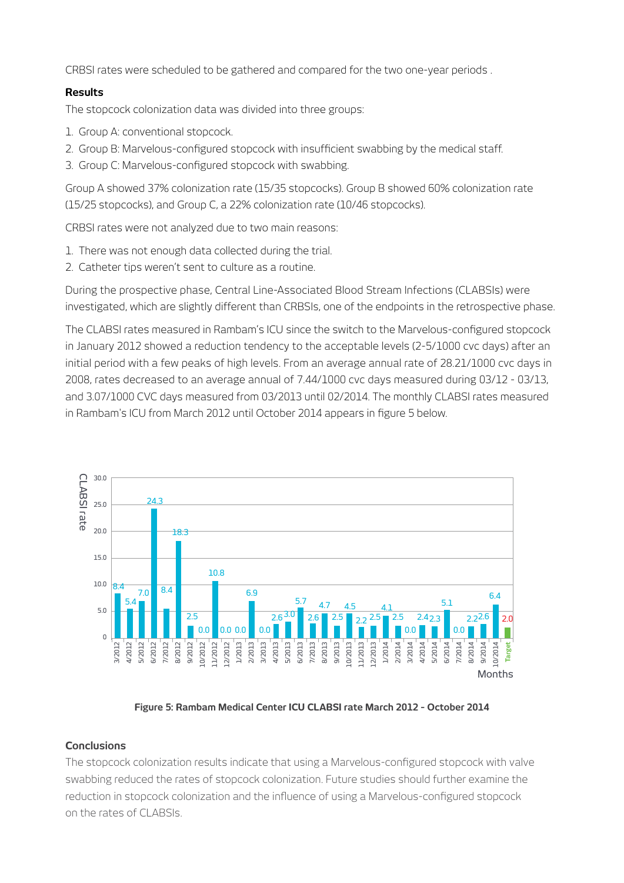CRBSI rates were scheduled to be gathered and compared for the two one-year periods .

#### **Results**

The stopcock colonization data was divided into three groups:

- 1. Group A: conventional stopcock.
- 2. Group B: Marvelous-configured stopcock with insufficient swabbing by the medical staff.
- 3. Group C: Marvelous-configured stopcock with swabbing.

Group A showed 37% colonization rate (15/35 stopcocks). Group B showed 60% colonization rate (15/25 stopcocks), and Group C, a 22% colonization rate (10/46 stopcocks).

CRBSI rates were not analyzed due to two main reasons:

- 1. There was not enough data collected during the trial.
- 2. Catheter tips weren't sent to culture as a routine.

During the prospective phase, Central Line-Associated Blood Stream Infections (CLABSIs) were investigated, which are slightly different than CRBSIs, one of the endpoints in the retrospective phase.

The CLABSI rates measured in Rambam's ICU since the switch to the Marvelous-configured stopcock in January 2012 showed a reduction tendency to the acceptable levels (2-5/1000 cvc days) after an initial period with a few peaks of high levels. From an average annual rate of 28.21/1000 cvc days in 2008, rates decreased to an average annual of 7.44/1000 cvc days measured during 03/12 - 03/13, and 3.07/1000 CVC days measured from 03/2013 until 02/2014. The monthly CLABSI rates measured in Rambam's ICU from March 2012 until October 2014 appears in figure 5 below.



**Figure 5: Rambam Medical Center ICU CLABSI rate March 2012 - October 2014**

#### **Conclusions**

The stopcock colonization results indicate that using a Marvelous-configured stopcock with valve swabbing reduced the rates of stopcock colonization. Future studies should further examine the reduction in stopcock colonization and the influence of using a Marvelous-configured stopcock on the rates of CLABSIs.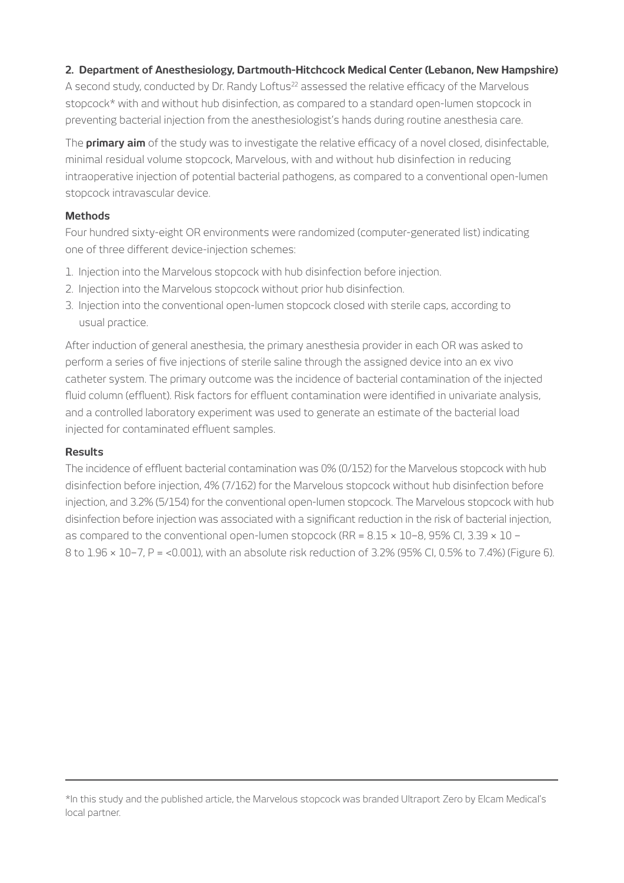#### **2. Department of Anesthesiology, Dartmouth-Hitchcock Medical Center (Lebanon, New Hampshire)**

A second study, conducted by Dr. Randy Loftus<sup>22</sup> assessed the relative efficacy of the Marvelous stopcock\* with and without hub disinfection, as compared to a standard open-lumen stopcock in preventing bacterial injection from the anesthesiologist's hands during routine anesthesia care.

The **primary aim** of the study was to investigate the relative efficacy of a novel closed, disinfectable, minimal residual volume stopcock, Marvelous, with and without hub disinfection in reducing intraoperative injection of potential bacterial pathogens, as compared to a conventional open-lumen stopcock intravascular device.

#### **Methods**

Four hundred sixty-eight OR environments were randomized (computer-generated list) indicating one of three different device-injection schemes:

- 1. Injection into the Marvelous stopcock with hub disinfection before injection.
- 2. Injection into the Marvelous stopcock without prior hub disinfection.
- 3. Injection into the conventional open-lumen stopcock closed with sterile caps, according to usual practice.

After induction of general anesthesia, the primary anesthesia provider in each OR was asked to perform a series of five injections of sterile saline through the assigned device into an ex vivo catheter system. The primary outcome was the incidence of bacterial contamination of the injected fluid column (effluent). Risk factors for effluent contamination were identified in univariate analysis, and a controlled laboratory experiment was used to generate an estimate of the bacterial load injected for contaminated effluent samples.

#### **Results**

The incidence of effluent bacterial contamination was 0% (0/152) for the Marvelous stopcock with hub disinfection before injection, 4% (7/162) for the Marvelous stopcock without hub disinfection before injection, and 3.2% (5/154) for the conventional open-lumen stopcock. The Marvelous stopcock with hub disinfection before injection was associated with a significant reduction in the risk of bacterial injection, as compared to the conventional open-lumen stopcock (RR = 8.15 × 10−8, 95% CI, 3.39 × 10 − 8 to 1.96 × 10−7, P = <0.001), with an absolute risk reduction of 3.2% (95% CI, 0.5% to 7.4%) (Figure 6).

<sup>\*</sup>In this study and the published article, the Marvelous stopcock was branded Ultraport Zero by Elcam Medical's local partner.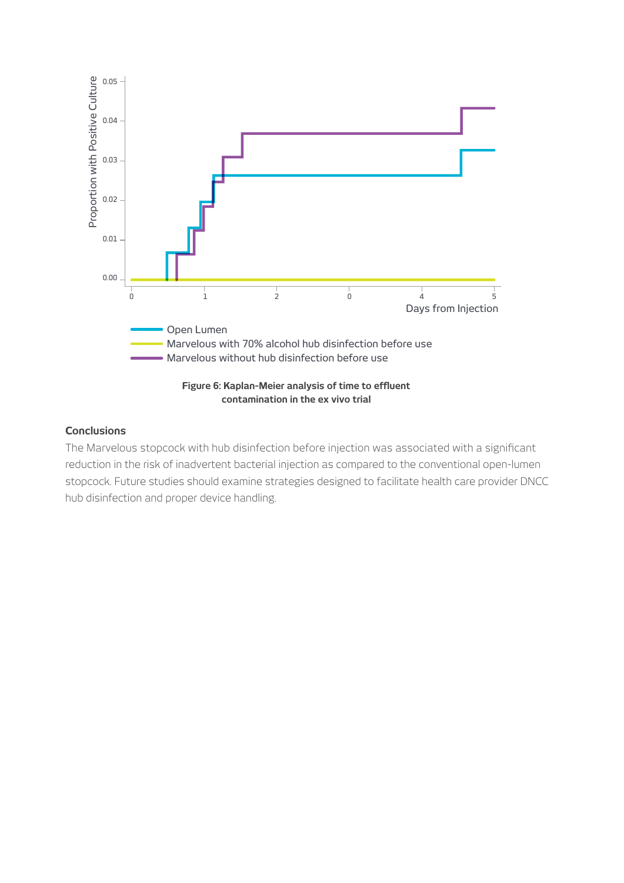

#### **Conclusions**

The Marvelous stopcock with hub disinfection before injection was associated with a significant reduction in the risk of inadvertent bacterial injection as compared to the conventional open-lumen stopcock. Future studies should examine strategies designed to facilitate health care provider DNCC hub disinfection and proper device handling.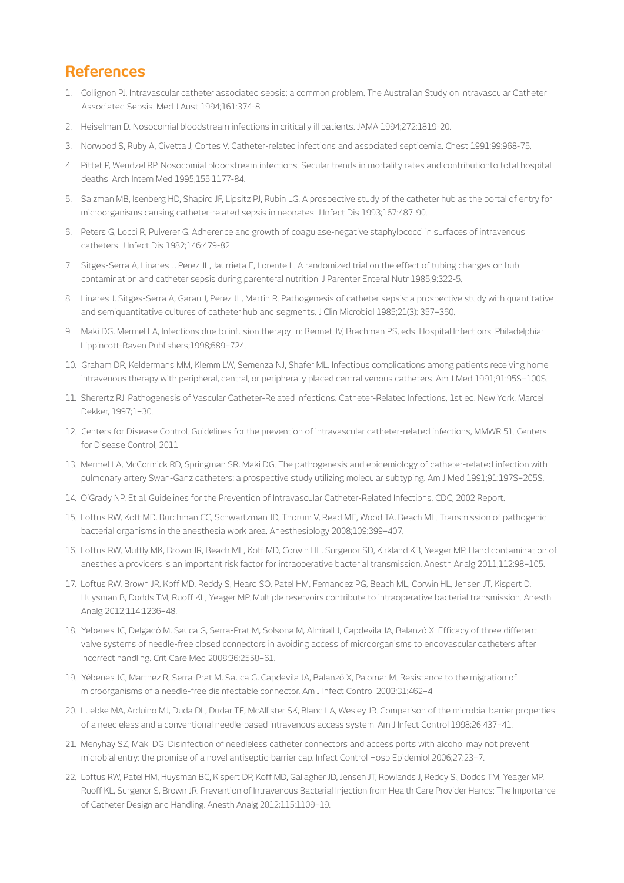### **References**

- 1. Collignon PJ. Intravascular catheter associated sepsis: a common problem. The Australian Study on Intravascular Catheter Associated Sepsis. Med J Aust 1994;161:374-8.
- 2. Heiselman D. Nosocomial bloodstream infections in critically ill patients. JAMA 1994;272:1819-20.
- 3. Norwood S, Ruby A, Civetta J, Cortes V. Catheter-related infections and associated septicemia. Chest 1991;99:968-75.
- 4. Pittet P, Wendzel RP. Nosocomial bloodstream infections. Secular trends in mortality rates and contributionto total hospital deaths. Arch Intern Med 1995;155:1177-84.
- 5. Salzman MB, Isenberg HD, Shapiro JF, Lipsitz PJ, Rubin LG. A prospective study of the catheter hub as the portal of entry for microorganisms causing catheter-related sepsis in neonates. J Infect Dis 1993;167:487-90.
- 6. Peters G, Locci R, Pulverer G. Adherence and growth of coagulase-negative staphylococci in surfaces of intravenous catheters. J Infect Dis 1982;146:479-82.
- 7. Sitges-Serra A, Linares J, Perez JL, Jaurrieta E, Lorente L. A randomized trial on the effect of tubing changes on hub contamination and catheter sepsis during parenteral nutrition. J Parenter Enteral Nutr 1985;9:322-5.
- 8. Linares J, Sitges-Serra A, Garau J, Perez JL, Martin R. Pathogenesis of catheter sepsis: a prospective study with quantitative and semiquantitative cultures of catheter hub and segments. J Clin Microbiol 1985;21(3): 357–360.
- 9. Maki DG, Mermel LA, Infections due to infusion therapy. In: Bennet JV, Brachman PS, eds. Hospital Infections. Philadelphia: Lippincott-Raven Publishers;1998;689–724.
- 10. Graham DR, Keldermans MM, Klemm LW, Semenza NJ, Shafer ML. Infectious complications among patients receiving home intravenous therapy with peripheral, central, or peripherally placed central venous catheters. Am J Med 1991;91:95S–100S.
- 11. Sherertz RJ. Pathogenesis of Vascular Catheter-Related Infections. Catheter-Related Infections, 1st ed. New York, Marcel Dekker, 1997;1–30.
- 12. Centers for Disease Control. Guidelines for the prevention of intravascular catheter-related infections, MMWR 51. Centers for Disease Control, 2011.
- 13. Mermel LA, McCormick RD, Springman SR, Maki DG. The pathogenesis and epidemiology of catheter-related infection with pulmonary artery Swan-Ganz catheters: a prospective study utilizing molecular subtyping. Am J Med 1991;91:197S–205S.
- 14. O'Grady NP. Et al. Guidelines for the Prevention of Intravascular Catheter-Related Infections. CDC, 2002 Report.
- 15. Loftus RW, Koff MD, Burchman CC, Schwartzman JD, Thorum V, Read ME, Wood TA, Beach ML. Transmission of pathogenic bacterial organisms in the anesthesia work area. Anesthesiology 2008;109:399–407.
- 16. Loftus RW, Muffly MK, Brown JR, Beach ML, Koff MD, Corwin HL, Surgenor SD, Kirkland KB, Yeager MP. Hand contamination of anesthesia providers is an important risk factor for intraoperative bacterial transmission. Anesth Analg 2011;112:98–105.
- 17. Loftus RW, Brown JR, Koff MD, Reddy S, Heard SO, Patel HM, Fernandez PG, Beach ML, Corwin HL, Jensen JT, Kispert D, Huysman B, Dodds TM, Ruoff KL, Yeager MP. Multiple reservoirs contribute to intraoperative bacterial transmission. Anesth Analg 2012;114:1236–48.
- 18. Yebenes JC, Delgadó M, Sauca G, Serra-Prat M, Solsona M, Almirall J, Capdevila JA, Balanzó X. Efficacy of three different valve systems of needle-free closed connectors in avoiding access of microorganisms to endovascular catheters after incorrect handling. Crit Care Med 2008;36:2558–61.
- 19. Yébenes JC, Martnez R, Serra-Prat M, Sauca G, Capdevila JA, Balanzó X, Palomar M. Resistance to the migration of microorganisms of a needle-free disinfectable connector. Am J Infect Control 2003;31:462–4.
- 20. Luebke MA, Arduino MJ, Duda DL, Dudar TE, McAllister SK, Bland LA, Wesley JR. Comparison of the microbial barrier properties of a needleless and a conventional needle-based intravenous access system. Am J Infect Control 1998;26:437–41.
- 21. Menyhay SZ, Maki DG. Disinfection of needleless catheter connectors and access ports with alcohol may not prevent microbial entry: the promise of a novel antiseptic-barrier cap. Infect Control Hosp Epidemiol 2006;27:23–7.
- 22. Loftus RW, Patel HM, Huysman BC, Kispert DP, Koff MD, Gallagher JD, Jensen JT, Rowlands J, Reddy S., Dodds TM, Yeager MP, Ruoff KL, Surgenor S, Brown JR. Prevention of Intravenous Bacterial Injection from Health Care Provider Hands: The Importance of Catheter Design and Handling. Anesth Analg 2012;115:1109–19.